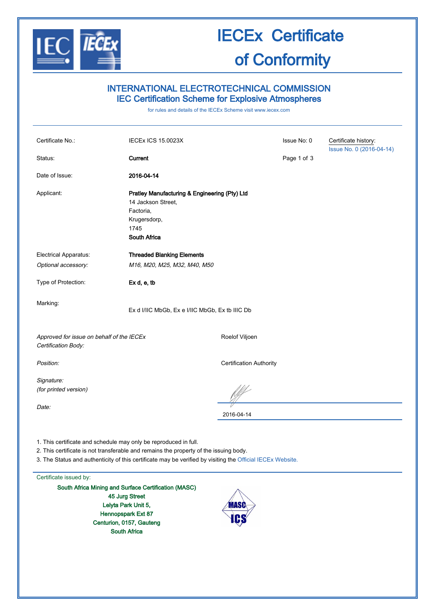

## IECEx Certificate of Conformity

### INTERNATIONAL ELECTROTECHNICAL COMMISSION IEC Certification Scheme for Explosive Atmospheres

for rules and details of the IECEx Scheme visit [www.iecex.com](http://www.iecex.com/)

| Certificate No.:                                                                                                                                                                                                                                                        | <b>IECEX ICS 15.0023X</b>                                                                                                       |                                | Issue No: 0 | Certificate history:     |  |
|-------------------------------------------------------------------------------------------------------------------------------------------------------------------------------------------------------------------------------------------------------------------------|---------------------------------------------------------------------------------------------------------------------------------|--------------------------------|-------------|--------------------------|--|
| Status:                                                                                                                                                                                                                                                                 | <b>Current</b>                                                                                                                  |                                | Page 1 of 3 | Issue No. 0 (2016-04-14) |  |
|                                                                                                                                                                                                                                                                         |                                                                                                                                 |                                |             |                          |  |
| Date of Issue:                                                                                                                                                                                                                                                          | 2016-04-14                                                                                                                      |                                |             |                          |  |
| Applicant:                                                                                                                                                                                                                                                              | Pratley Manufacturing & Engineering (Pty) Ltd<br>14 Jackson Street,<br>Factoria,<br>Krugersdorp,<br>1745<br><b>South Africa</b> |                                |             |                          |  |
| Electrical Apparatus:                                                                                                                                                                                                                                                   | <b>Threaded Blanking Elements</b>                                                                                               |                                |             |                          |  |
| Optional accessory:                                                                                                                                                                                                                                                     | M16, M20, M25, M32, M40, M50                                                                                                    |                                |             |                          |  |
| Type of Protection:                                                                                                                                                                                                                                                     | Ex d, e, tb                                                                                                                     |                                |             |                          |  |
| Marking:                                                                                                                                                                                                                                                                | Ex d I/IIC MbGb, Ex e I/IIC MbGb, Ex tb IIIC Db                                                                                 |                                |             |                          |  |
| Approved for issue on behalf of the IECEx<br>Roelof Viljoen<br>Certification Body:                                                                                                                                                                                      |                                                                                                                                 |                                |             |                          |  |
| Position:                                                                                                                                                                                                                                                               |                                                                                                                                 | <b>Certification Authority</b> |             |                          |  |
| Signature:<br>(for printed version)                                                                                                                                                                                                                                     |                                                                                                                                 |                                |             |                          |  |
| Date:                                                                                                                                                                                                                                                                   |                                                                                                                                 | 2016-04-14                     |             |                          |  |
| 1. This certificate and schedule may only be reproduced in full.<br>2. This certificate is not transferable and remains the property of the issuing body.<br>3. The Status and authenticity of this certificate may be verified by visiting the Official IECEx Website. |                                                                                                                                 |                                |             |                          |  |
| Certificate issued by:                                                                                                                                                                                                                                                  |                                                                                                                                 |                                |             |                          |  |

South Africa Mining and Surface Certification (MASC) 45 Jurg Street Lelyta Park Unit 5, Hennopspark Ext 87 Centurion, 0157, Gauteng South Africa

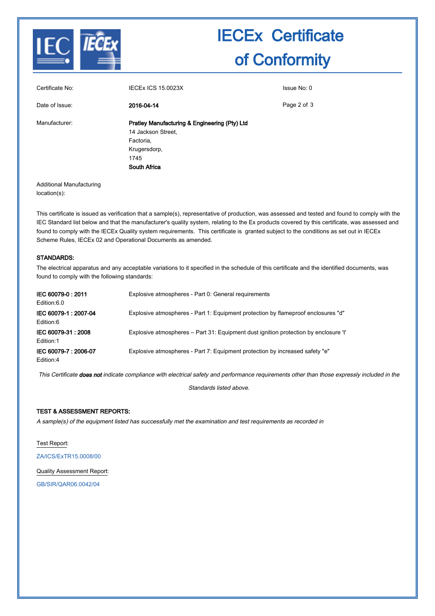

# IECEx Certificate of Conformity

| Certificate No: | <b>IECEX ICS 15.0023X</b>                                                                                                | Issue No: 0 |
|-----------------|--------------------------------------------------------------------------------------------------------------------------|-------------|
| Date of Issue:  | 2016-04-14                                                                                                               | Page 2 of 3 |
| Manufacturer:   | Pratley Manufacturing & Engineering (Pty) Ltd<br>14 Jackson Street.<br>Factoria,<br>Krugersdorp,<br>1745<br>South Africa |             |

Additional Manufacturing location(s):

This certificate is issued as verification that a sample(s), representative of production, was assessed and tested and found to comply with the IEC Standard list below and that the manufacturer's quality system, relating to the Ex products covered by this certificate, was assessed and found to comply with the IECEx Quality system requirements. This certificate is granted subject to the conditions as set out in IECEx Scheme Rules, IECEx 02 and Operational Documents as amended.

### STANDARDS:

The electrical apparatus and any acceptable variations to it specified in the schedule of this certificate and the identified documents, was found to comply with the following standards:

| IEC 60079-0: 2011<br>Edition:6.0  | Explosive atmospheres - Part 0: General requirements                                 |
|-----------------------------------|--------------------------------------------------------------------------------------|
| IEC 60079-1: 2007-04<br>Edition:6 | Explosive atmospheres - Part 1: Equipment protection by flameproof enclosures "d"    |
| IEC 60079-31: 2008<br>Edition:1   | Explosive atmospheres – Part 31: Equipment dust ignition protection by enclosure 't' |
| IEC 60079-7: 2006-07<br>Edition:4 | Explosive atmospheres - Part 7: Equipment protection by increased safety "e"         |

This Certificate does not indicate compliance with electrical safety and performance requirements other than those expressly included in the

Standards listed above.

### TEST & ASSESSMENT REPORTS:

A sample(s) of the equipment listed has successfully met the examination and test requirements as recorded in

Test Report:

[ZA/ICS/ExTR15.0008/00](http://iecex.iec.ch/iecex/IECExWeb.nsf/ExTRNumber/ZA/ICS/ExTR15.0008/00?OpenDocument)

Quality Assessment Report:

[GB/SIR/QAR06.0042/04](http://iecex.iec.ch/iecex/IECExWeb.nsf/QARNumber/GB/SIR/QAR06.0042/04?OpenDocument)